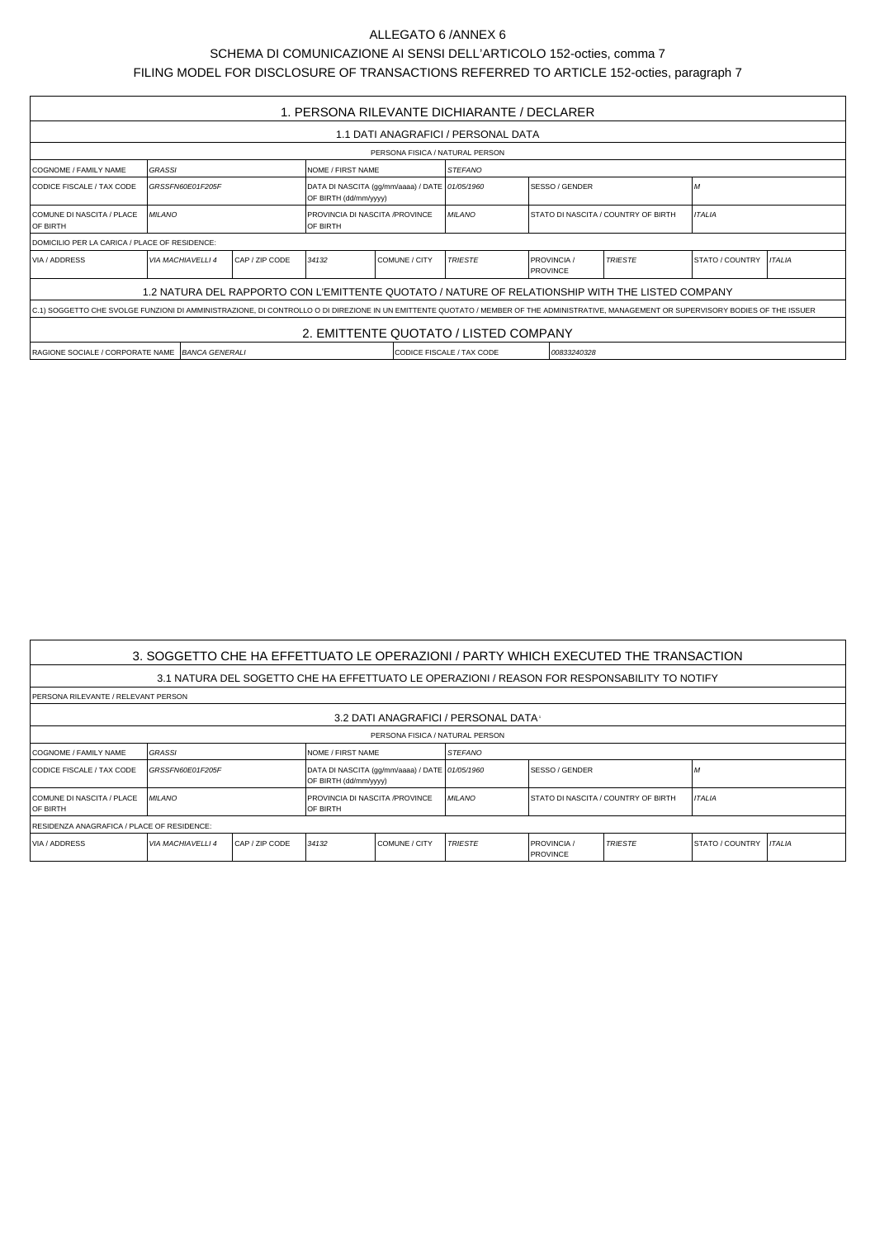## SCHEMA DI COMUNICAZIONE AI SENSI DELL'ARTICOLO 152-octies, comma 7 FILING MODEL FOR DISCLOSURE OF TRANSACTIONS REFERRED TO ARTICLE 152-octies, paragraph 7

| 1. PERSONA RILEVANTE DICHIARANTE / DECLARER                                                                                                                                              |                                                      |  |                        |                                                                         |                |               |                                                  |                                     |                        |               |  |  |
|------------------------------------------------------------------------------------------------------------------------------------------------------------------------------------------|------------------------------------------------------|--|------------------------|-------------------------------------------------------------------------|----------------|---------------|--------------------------------------------------|-------------------------------------|------------------------|---------------|--|--|
| 1.1 DATI ANAGRAFICI / PERSONAL DATA                                                                                                                                                      |                                                      |  |                        |                                                                         |                |               |                                                  |                                     |                        |               |  |  |
| PERSONA FISICA / NATURAL PERSON                                                                                                                                                          |                                                      |  |                        |                                                                         |                |               |                                                  |                                     |                        |               |  |  |
| COGNOME / FAMILY NAME                                                                                                                                                                    | <b>STEFANO</b><br><b>GRASSI</b><br>NOME / FIRST NAME |  |                        |                                                                         |                |               |                                                  |                                     |                        |               |  |  |
| CODICE FISCALE / TAX CODE                                                                                                                                                                | GRSSFN60E01F205F                                     |  |                        | DATA DI NASCITA (gg/mm/aaaa) / DATE 01/05/1960<br>OF BIRTH (dd/mm/yyyy) |                |               |                                                  | SESSO / GENDER                      |                        | ١M            |  |  |
| COMUNE DI NASCITA / PLACE<br><b>OF BIRTH</b>                                                                                                                                             | <b>MILANO</b>                                        |  |                        | <b>PROVINCIA DI NASCITA /PROVINCE</b><br><b>OF BIRTH</b>                |                | <b>MILANO</b> |                                                  | STATO DI NASCITA / COUNTRY OF BIRTH |                        | <b>ITALIA</b> |  |  |
| DOMICILIO PER LA CARICA / PLACE OF RESIDENCE:                                                                                                                                            |                                                      |  |                        |                                                                         |                |               |                                                  |                                     |                        |               |  |  |
| <b>VIA / ADDRESS</b>                                                                                                                                                                     | <b>VIA MACHIAVELLI 4</b><br>CAP / ZIP CODE           |  | COMUNE / CITY<br>34132 |                                                                         | <b>TRIESTE</b> |               | <b>TRIESTE</b><br>PROVINCIA /<br><b>PROVINCE</b> |                                     | <b>STATO / COUNTRY</b> | <b>ITALIA</b> |  |  |
| 1.2 NATURA DEL RAPPORTO CON L'EMITTENTE QUOTATO / NATURE OF RELATIONSHIP WITH THE LISTED COMPANY                                                                                         |                                                      |  |                        |                                                                         |                |               |                                                  |                                     |                        |               |  |  |
| C.1) SOGGETTO CHE SVOLGE FUNZIONI DI AMMINISTRAZIONE, DI CONTROLLO O DI DIREZIONE IN UN EMITTENTE QUOTATO / MEMBER OF THE ADMINISTRATIVE, MANAGEMENT OR SUPERVISORY BODIES OF THE ISSUER |                                                      |  |                        |                                                                         |                |               |                                                  |                                     |                        |               |  |  |
| 2. EMITTENTE QUOTATO / LISTED COMPANY                                                                                                                                                    |                                                      |  |                        |                                                                         |                |               |                                                  |                                     |                        |               |  |  |
| RAGIONE SOCIALE / CORPORATE NAME BANCA GENERALI<br>CODICE FISCALE / TAX CODE<br>00833240328                                                                                              |                                                      |  |                        |                                                                         |                |               |                                                  |                                     |                        |               |  |  |

| 3. SOGGETTO CHE HA EFFETTUATO LE OPERAZIONI / PARTY WHICH EXECUTED THE TRANSACTION           |                                              |  |                                             |                                                |                |                                            |                |                        |               |  |  |  |
|----------------------------------------------------------------------------------------------|----------------------------------------------|--|---------------------------------------------|------------------------------------------------|----------------|--------------------------------------------|----------------|------------------------|---------------|--|--|--|
| 3.1 NATURA DEL SOGETTO CHE HA EFFETTUATO LE OPERAZIONI / REASON FOR RESPONSABILITY TO NOTIFY |                                              |  |                                             |                                                |                |                                            |                |                        |               |  |  |  |
| I PERSONA RILEVANTE / RELEVANT PERSON                                                        |                                              |  |                                             |                                                |                |                                            |                |                        |               |  |  |  |
| 3.2 DATI ANAGRAFICI / PERSONAL DATA                                                          |                                              |  |                                             |                                                |                |                                            |                |                        |               |  |  |  |
| PERSONA FISICA / NATURAL PERSON                                                              |                                              |  |                                             |                                                |                |                                            |                |                        |               |  |  |  |
| COGNOME / FAMILY NAME                                                                        | <b>GRASSI</b>                                |  | NOME / FIRST NAME                           |                                                | STEFANO        |                                            |                |                        |               |  |  |  |
| CODICE FISCALE / TAX CODE                                                                    | GRSSFN60E01F205F                             |  | OF BIRTH (dd/mm/yyyy)                       | DATA DI NASCITA (qq/mm/aaaa) / DATE 01/05/1960 |                | <b>ISESSO / GENDER</b>                     |                |                        |               |  |  |  |
| COMUNE DI NASCITA / PLACE<br>OF BIRTH                                                        | <b>MILANO</b>                                |  | PROVINCIA DI NASCITA /PROVINCE<br>IOF BIRTH |                                                | <b>MILANO</b>  | <b>STATO DI NASCITA / COUNTRY OF BIRTH</b> |                | <b>ITALIA</b>          |               |  |  |  |
| RESIDENZA ANAGRAFICA / PLACE OF RESIDENCE:                                                   |                                              |  |                                             |                                                |                |                                            |                |                        |               |  |  |  |
| VIA / ADDRESS                                                                                | I CAP / ZIP CODE<br><b>VIA MACHIAVELLI 4</b> |  | 34132<br><b>COMUNE / CITY</b>               |                                                | <b>TRIESTE</b> | <b>PROVINCIA</b> /<br><b>PROVINCE</b>      | <b>TRIESTE</b> | <b>STATO / COUNTRY</b> | <b>ITALIA</b> |  |  |  |

## ALLEGATO 6 /ANNEX 6